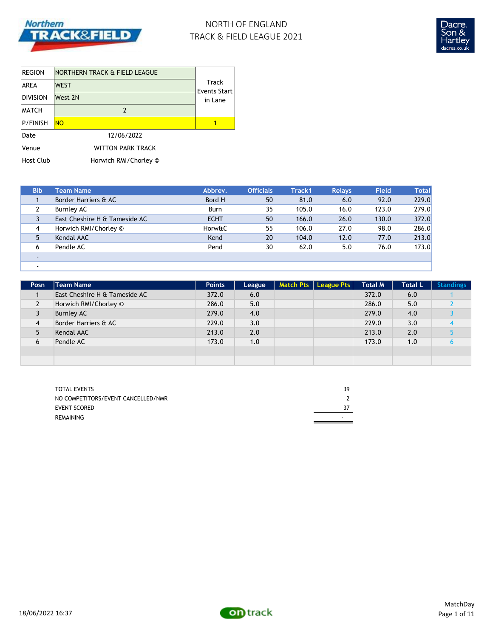

## NORTH OF ENGLAND TRACK & FIELD LEAGUE 2021



| <b>REGION</b>    | INORTHERN TRACK & FIELD LEAGUE |                       |
|------------------|--------------------------------|-----------------------|
| <b>AREA</b>      | <b>WEST</b>                    | Track<br>Events Start |
| <b>DIVISION</b>  | West 2N                        | in Lane               |
| <b>MATCH</b>     | 2                              |                       |
| <b>P/FINISH</b>  | <b>NO</b>                      |                       |
| Date             | 12/06/2022                     |                       |
| Venue            | <b>WITTON PARK TRACK</b>       |                       |
| <b>Host Club</b> | Horwich RMI/Chorley ©          |                       |

| <b>Bib</b> | <b>Team Name</b>              | Abbrev.     | <b>Officials</b> | Track1 | <b>Relays</b> | <b>Field</b> | <b>Total</b> |
|------------|-------------------------------|-------------|------------------|--------|---------------|--------------|--------------|
|            | Border Harriers & AC          | Bord H      | 50               | 81.0   | 6.0           | 92.0         | 229.0        |
|            | Burnley AC                    | Burn        | 35               | 105.0  | 16.0          | 123.0        | 279.0        |
|            | East Cheshire H & Tameside AC | <b>ECHT</b> | 50               | 166.0  | 26.0          | 130.0        | 372.0        |
| 4          | Horwich RMI/Chorley ©         | Horw&C      | 55               | 106.0  | 27.0          | 98.0         | 286.0        |
| 5          | Kendal AAC                    | Kend        | 20               | 104.0  | 12.0          | 77.0         | 213.0        |
| 6          | Pendle AC                     | Pend        | 30               | 62.0   | 5.0           | 76.0         | 173.0        |
|            |                               |             |                  |        |               |              |              |
|            |                               |             |                  |        |               |              |              |

| Posn           | <b>Team Name</b>              | <b>Points</b> | League | Match Pts   League Pts | <b>Total M</b> | <b>Total L</b> | <b>Standings</b> |
|----------------|-------------------------------|---------------|--------|------------------------|----------------|----------------|------------------|
|                | East Cheshire H & Tameside AC | 372.0         | 6.0    |                        | 372.0          | 6.0            |                  |
| $\overline{2}$ | Horwich RMI/Chorley ©         | 286.0         | 5.0    |                        | 286.0          | 5.0            |                  |
| 3              | <b>Burnley AC</b>             | 279.0         | 4.0    |                        | 279.0          | 4.0            |                  |
| 4              | Border Harriers & AC          | 229.0         | 3.0    |                        | 229.0          | 3.0            |                  |
| 5              | Kendal AAC                    | 213.0         | 2.0    |                        | 213.0          | 2.0            |                  |
| 6              | Pendle AC                     | 173.0         | 1.0    |                        | 173.0          | 1.0            |                  |
|                |                               |               |        |                        |                |                |                  |
|                |                               |               |        |                        |                |                |                  |

| <b>TOTAL EVENTS</b>                | 39 |
|------------------------------------|----|
| NO COMPETITORS/EVENT CANCELLED/NMR |    |
| EVENT SCORED                       |    |
| <b>REMAINING</b>                   |    |

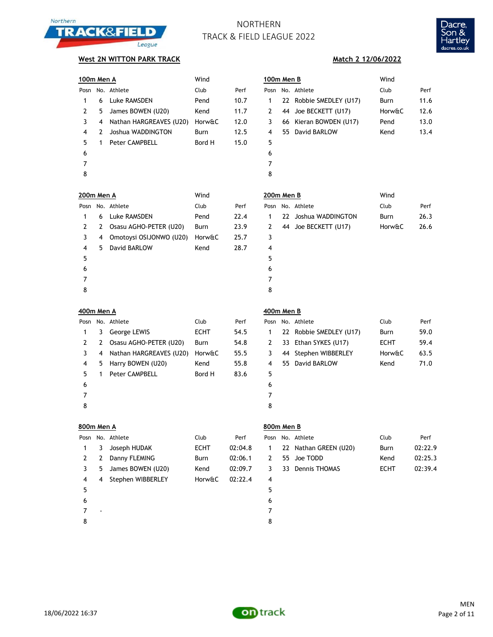



**Match 2 12/06/2022**

### **West 2N WITTON PARK TRACK**

|                   | 100m Men A<br>Wind |                         |             |         | 100m Men B |    |                         | Wind        |         |
|-------------------|--------------------|-------------------------|-------------|---------|------------|----|-------------------------|-------------|---------|
|                   |                    | Posn No. Athlete        | Club        | Perf    |            |    | Posn No. Athlete        | Club        | Perf    |
| 1                 | 6                  | Luke RAMSDEN            | Pend        | 10.7    | 1          |    | 22 Robbie SMEDLEY (U17) | Burn        | 11.6    |
| $\mathbf{2}$      | 5                  | James BOWEN (U20)       | Kend        | 11.7    | 2          |    | 44 Joe BECKETT (U17)    | Horw&C      | 12.6    |
| 3                 | 4                  | Nathan HARGREAVES (U20) | Horw&C      | 12.0    | 3          |    | 66 Kieran BOWDEN (U17)  | Pend        | 13.0    |
| 4                 | 2                  | Joshua WADDINGTON       | Burn        | 12.5    | 4          |    | 55 David BARLOW         | Kend        | 13.4    |
| 5                 | $\mathbf{1}$       | Peter CAMPBELL          | Bord H      | 15.0    | 5          |    |                         |             |         |
| 6                 |                    |                         |             |         | 6          |    |                         |             |         |
| 7                 |                    |                         |             |         | 7          |    |                         |             |         |
| 8                 |                    |                         |             |         | 8          |    |                         |             |         |
| <b>200m Men A</b> |                    |                         | Wind        |         | 200m Men B |    |                         | Wind        |         |
|                   |                    | Posn No. Athlete        | Club        | Perf    |            |    | Posn No. Athlete        | Club        | Perf    |
| 1                 | 6                  | Luke RAMSDEN            | Pend        | 22.4    | 1          |    | 22 Joshua WADDINGTON    | Burn        | 26.3    |
| $\overline{2}$    | 2                  | Osasu AGHO-PETER (U20)  | Burn        | 23.9    | 2          |    | 44 Joe BECKETT (U17)    | Horw&C      | 26.6    |
| 3                 | 4                  | Omotoysi OSIJONWO (U20) | Horw&C      | 25.7    | 3          |    |                         |             |         |
| 4                 | 5.                 | David BARLOW            | Kend        | 28.7    | 4          |    |                         |             |         |
| 5                 |                    |                         |             |         | 5          |    |                         |             |         |
| 6                 |                    |                         |             |         | 6          |    |                         |             |         |
| 7                 |                    |                         |             |         | 7          |    |                         |             |         |
| 8                 |                    |                         |             |         | 8          |    |                         |             |         |
| 400m Men A        |                    |                         |             |         |            |    |                         |             |         |
|                   |                    |                         |             |         | 400m Men B |    |                         |             |         |
|                   |                    | Posn No. Athlete        | Club        | Perf    |            |    | Posn No. Athlete        | Club        | Perf    |
| 1                 | 3                  | George LEWIS            | <b>ECHT</b> | 54.5    | 1          |    | 22 Robbie SMEDLEY (U17) | Burn        | 59.0    |
| $\mathbf{2}$      | 2                  | Osasu AGHO-PETER (U20)  | Burn        | 54.8    | 2          |    | 33 Ethan SYKES (U17)    | <b>ECHT</b> | 59.4    |
| 3                 | 4                  | Nathan HARGREAVES (U20) | Horw&C      | 55.5    | 3          |    | 44 Stephen WIBBERLEY    | Horw&C      | 63.5    |
| 4                 | 5                  | Harry BOWEN (U20)       | Kend        | 55.8    | 4          |    | 55 David BARLOW         | Kend        | 71.0    |
| 5                 | $\mathbf{1}$       | Peter CAMPBELL          | Bord H      | 83.6    | 5          |    |                         |             |         |
| 6                 |                    |                         |             |         | 6          |    |                         |             |         |
| 7                 |                    |                         |             |         | 7          |    |                         |             |         |
| 8                 |                    |                         |             |         | 8          |    |                         |             |         |
| 800m Men A        |                    |                         |             |         | 800m Men B |    |                         |             |         |
|                   |                    | Posn No. Athlete        | Club        | Perf    |            |    | Posn No. Athlete        | Club        | Perf    |
| 1                 | 3                  | Joseph HUDAK            | <b>ECHT</b> | 02:04.8 | 1          |    | 22 Nathan GREEN (U20)   | Burn        | 02:22.9 |
| $\mathbf{2}$      | 2                  | Danny FLEMING           | Burn        | 02:06.1 | 2          | 55 | Joe TODD                | Kend        | 02:25.3 |
| 3                 | 5                  | James BOWEN (U20)       | Kend        | 02:09.7 | 3          |    | 33 Dennis THOMAS        | <b>ECHT</b> | 02:39.4 |
| 4                 | 4                  | Stephen WIBBERLEY       | Horw&C      | 02:22.4 | 4          |    |                         |             |         |
| 5                 |                    |                         |             |         | 5          |    |                         |             |         |
| 6                 |                    |                         |             |         | 6          |    |                         |             |         |
| 7                 |                    |                         |             |         | 7          |    |                         |             |         |

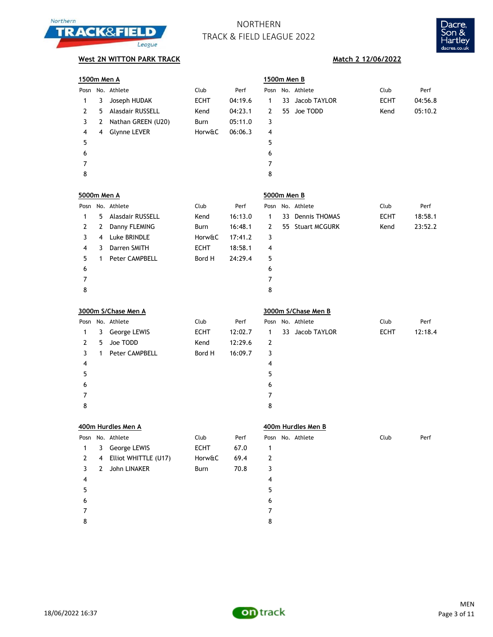



| 1500m Men A             |              |                      |             |         |                         | 1500m Men B |                     |             |         |
|-------------------------|--------------|----------------------|-------------|---------|-------------------------|-------------|---------------------|-------------|---------|
| Posn                    |              | No. Athlete          | Club        | Perf    |                         |             | Posn No. Athlete    | Club        | Perf    |
| 1                       | 3            | Joseph HUDAK         | <b>ECHT</b> | 04:19.6 | 1                       | 33          | Jacob TAYLOR        | <b>ECHT</b> | 04:56.8 |
| $\mathbf{2}$            | 5            | Alasdair RUSSELL     | Kend        | 04:23.1 | 2                       | 55          | Joe TODD            | Kend        | 05:10.2 |
| 3                       | 2            | Nathan GREEN (U20)   | Burn        | 05:11.0 | 3                       |             |                     |             |         |
| $\overline{\mathbf{4}}$ | 4            | Glynne LEVER         | Horw&C      | 06:06.3 | $\overline{\mathbf{4}}$ |             |                     |             |         |
| 5                       |              |                      |             |         | 5                       |             |                     |             |         |
| 6                       |              |                      |             |         | 6                       |             |                     |             |         |
| $\overline{7}$          |              |                      |             |         | $\overline{7}$          |             |                     |             |         |
| 8                       |              |                      |             |         | 8                       |             |                     |             |         |
| 5000m Men A             |              |                      |             |         | 5000m Men B             |             |                     |             |         |
|                         |              | Posn No. Athlete     | Club        | Perf    |                         |             | Posn No. Athlete    | Club        | Perf    |
| 1                       | 5            | Alasdair RUSSELL     | Kend        | 16:13.0 | $\mathbf{1}$            |             | 33 Dennis THOMAS    | <b>ECHT</b> | 18:58.1 |
| $\mathbf{2}$            | 2            | Danny FLEMING        | Burn        | 16:48.1 | $\mathbf{2}$            |             | 55 Stuart MCGURK    | Kend        | 23:52.2 |
| 3                       | 4            | Luke BRINDLE         | Horw&C      | 17:41.2 | 3                       |             |                     |             |         |
| $\overline{\mathbf{4}}$ | 3            | Darren SMITH         | <b>ECHT</b> | 18:58.1 | $\overline{\mathbf{4}}$ |             |                     |             |         |
| 5                       | 1            | Peter CAMPBELL       | Bord H      | 24:29.4 | 5                       |             |                     |             |         |
| 6                       |              |                      |             |         | 6                       |             |                     |             |         |
| $\overline{7}$          |              |                      |             |         | $\overline{7}$          |             |                     |             |         |
| 8                       |              |                      |             |         | 8                       |             |                     |             |         |
|                         |              | 3000m S/Chase Men A  |             |         |                         |             | 3000m S/Chase Men B |             |         |
|                         |              | Posn No. Athlete     | Club        | Perf    |                         |             | Posn No. Athlete    | Club        | Perf    |
| 1                       | 3            | George LEWIS         | <b>ECHT</b> | 12:02.7 | $\mathbf{1}$            |             | 33 Jacob TAYLOR     | <b>ECHT</b> | 12:18.4 |
| $\mathbf{2}$            | 5            | Joe TODD             | Kend        | 12:29.6 | $\overline{2}$          |             |                     |             |         |
| 3                       | $\mathbf{1}$ | Peter CAMPBELL       | Bord H      | 16:09.7 | 3                       |             |                     |             |         |
| $\overline{\mathbf{4}}$ |              |                      |             |         | $\overline{\mathbf{4}}$ |             |                     |             |         |
| 5                       |              |                      |             |         | 5                       |             |                     |             |         |
| 6                       |              |                      |             |         | 6                       |             |                     |             |         |
| $\overline{7}$          |              |                      |             |         | $\overline{7}$          |             |                     |             |         |
| 8                       |              |                      |             |         | 8                       |             |                     |             |         |
|                         |              | 400m Hurdles Men A   |             |         |                         |             | 400m Hurdles Men B  |             |         |
| Posn                    |              | No. Athlete          | Club        | Perf    |                         |             | Posn No. Athlete    | Club        | Perf    |
| $\mathbf{1}$            | 3            | George LEWIS         | <b>ECHT</b> | 67.0    | 1                       |             |                     |             |         |
| $\mathbf{2}$            | 4            | Elliot WHITTLE (U17) | Horw&C      | 69.4    | $\mathbf 2$             |             |                     |             |         |
| 3                       | 2            | John LINAKER         | Burn        | 70.8    | 3                       |             |                     |             |         |
| 4                       |              |                      |             |         | 4                       |             |                     |             |         |
| 5                       |              |                      |             |         | 5                       |             |                     |             |         |
| 6                       |              |                      |             |         | 6                       |             |                     |             |         |
| 7                       |              |                      |             |         | 7                       |             |                     |             |         |
| 8                       |              |                      |             |         | 8                       |             |                     |             |         |

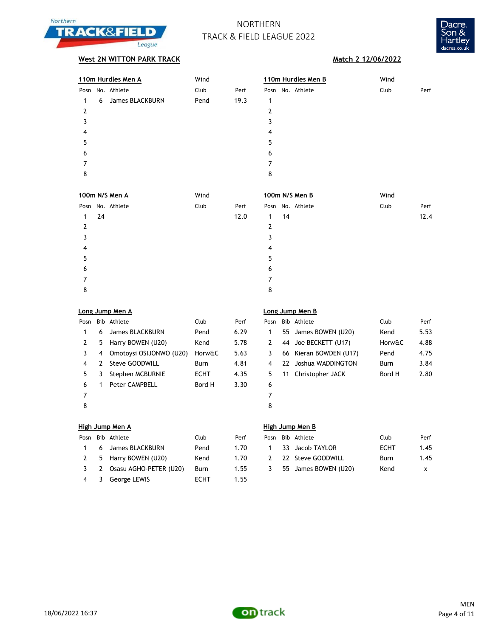



## **West 2N WITTON PARK TRACK Match 2 12/06/2022**

| 110m Hurdles Men A   | Wind |      | 110m Hurdles Men B | Wind |      |  |  |
|----------------------|------|------|--------------------|------|------|--|--|
| Posn No. Athlete     | Club | Perf | Posn No. Athlete   | Club | Perf |  |  |
| James BLACKBURN<br>6 | Pend | 19.3 | 1                  |      |      |  |  |
| 2                    |      |      | 2                  |      |      |  |  |
| 3                    |      |      | 3                  |      |      |  |  |
| 4                    |      |      | 4                  |      |      |  |  |
| 5                    |      |      | 5                  |      |      |  |  |
| 6                    |      |      | 6                  |      |      |  |  |
|                      |      |      |                    |      |      |  |  |
| 8                    |      |      | 8                  |      |      |  |  |
|                      |      |      |                    |      |      |  |  |

| 100m N/S Men A   | Wind | 100m N/S Men B             | Wind         |
|------------------|------|----------------------------|--------------|
| Posn No. Athlete | Club | Posn No. Athlete<br>Perf   | Club<br>Perf |
| -24<br>1.        |      | 12.0<br>14<br>$\mathbf{1}$ | 12.4         |
| 2                |      | 2                          |              |
| 3                |      | 3                          |              |
| 4                |      | 4                          |              |
| 5                |      | 5                          |              |
| 6                |      | 6                          |              |
|                  |      | 7                          |              |
| 8                |      | 8                          |              |

| Long Jump Men A |   |                           | Long Jump Men B |      |      |    |             |
|-----------------|---|---------------------------|-----------------|------|------|----|-------------|
| Posn            |   | Bib Athlete               | Club            | Perf | Posn |    | Bib Athlete |
| 1               | 6 | James BLACKBURN           | Pend            | 6.29 |      |    | 55 James B  |
| 2               | 5 | Harry BOWEN (U20)         | Kend            | 5.78 |      |    | 44 Joe BEC  |
| 3               |   | 4 Omotoysi OSIJONWO (U20) | Horw&C          | 5.63 |      |    | 66 Kieran E |
| 4               |   | 2 Steve GOODWILL          | Burn            | 4.81 | 4    |    | 22 Joshua   |
| 5               | 3 | Stephen MCBURNIE          | ECHT            | 4.35 | 5.   | 11 | Christop    |
| 6               | 1 | <b>Peter CAMPBELL</b>     | Bord H          | 3.30 | 6    |    |             |
| 7               |   |                           |                 |      | 7    |    |             |
| 8               |   |                           |                 |      | 8    |    |             |

| Posn |    | Bib Athlete             | Club        | Perf | Posn           |     | Bib Athlete            | Club        | Perf |
|------|----|-------------------------|-------------|------|----------------|-----|------------------------|-------------|------|
|      | 6  | James BLACKBURN         | Pend        | 6.29 |                |     | 55 James BOWEN (U20)   | Kend        | 5.53 |
|      | 5. | Harry BOWEN (U20)       | Kend        | 5.78 | 2              |     | 44 Joe BECKETT (U17)   | Horw&C      | 4.88 |
|      | 4  | Omotoysi OSIJONWO (U20) | Horw&C      | 5.63 |                |     | 66 Kieran BOWDEN (U17) | Pend        | 4.75 |
| 4    | 2  | Steve GOODWILL          | Burn        | 4.81 | $\overline{4}$ | 22. | Joshua WADDINGTON      | <b>Burn</b> | 3.84 |
| 5.   |    | Stephen MCBURNIE        | <b>ECHT</b> | 4.35 | 5.             |     | 11 Christopher JACK    | Bord H      | 2.80 |
| 6    |    | Peter CAMPBELL          | Bord H      | 3.30 | 6              |     |                        |             |      |
|      |    |                         |             |      |                |     |                        |             |      |
| Ω    |    |                         |             |      | Ω              |     |                        |             |      |

| Posn | Bib Athlete              | Club        | Perf |
|------|--------------------------|-------------|------|
|      | 6 James BLACKBURN        | Pend        | 1.70 |
| 2    | 5 Harry BOWEN (U20)      | Kend        | 1.70 |
| 3    | 2 Osasu AGHO-PETER (U20) | Burn        | 1.55 |
| 4    | 3 George LEWIS           | <b>ECHT</b> | 1.55 |

### **High Jump Men A High Jump Men B**

|  | Posn Bib Athlete           | Club | Perf | Posn | Bib Athlete          | Club | Perf |
|--|----------------------------|------|------|------|----------------------|------|------|
|  | 6 James BLACKBURN          | Pend | 1.70 |      | 33 Jacob TAYLOR      | ECHT | 1.45 |
|  | 2 5 Harry BOWEN (U20)      | Kend | 1.70 | 2.   | 22 Steve GOODWILL    | Burn | 1.45 |
|  | 3 2 Osasu AGHO-PETER (U20) | Burn | 1.55 | 3.   | 55 James BOWEN (U20) | Kend | X.   |

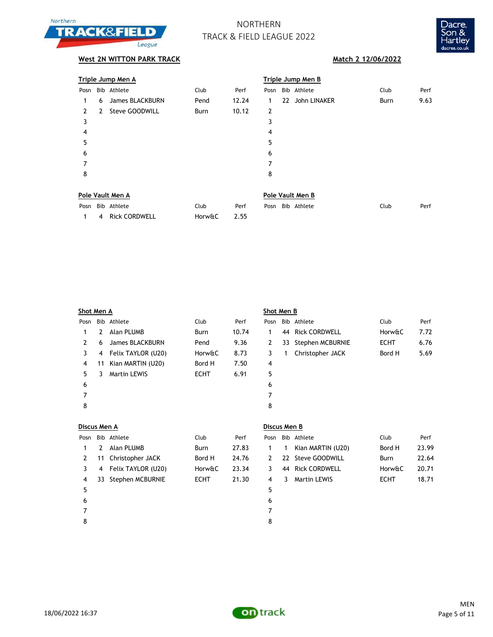



|               |   | Triple Jump Men A |      |       | <b>Triple Jump Men B</b> |  |                 |      |      |  |
|---------------|---|-------------------|------|-------|--------------------------|--|-----------------|------|------|--|
| Posn          |   | Bib Athlete       | Club | Perf  | Posn                     |  | Bib Athlete     | Club | Perf |  |
| 1             | 6 | James BLACKBURN   | Pend | 12.24 | 1                        |  | 22 John LINAKER | Burn | 9.63 |  |
| $\mathcal{L}$ | 2 | Steve GOODWILL    | Burn | 10.12 | $\overline{2}$           |  |                 |      |      |  |
| 3             |   |                   |      |       | 3                        |  |                 |      |      |  |
| 4             |   |                   |      |       | 4                        |  |                 |      |      |  |
| 5             |   |                   |      |       | 5                        |  |                 |      |      |  |
| 6             |   |                   |      |       | 6                        |  |                 |      |      |  |
| 7             |   |                   |      |       | 7                        |  |                 |      |      |  |
| 8             |   |                   |      |       | 8                        |  |                 |      |      |  |
|               |   |                   |      |       |                          |  |                 |      |      |  |
|               |   |                   |      |       |                          |  |                 |      |      |  |

| Pole Vault Men A |                   |        |      |  |  | Pole Vault Men B |      |      |  |  |  |  |  |
|------------------|-------------------|--------|------|--|--|------------------|------|------|--|--|--|--|--|
|                  | Posn Bib Athlete  | Club   | Perf |  |  | Posn Bib Athlete | Club | Perf |  |  |  |  |  |
|                  | 1 4 Rick CORDWELL | Horw&C | 2.55 |  |  |                  |      |      |  |  |  |  |  |

|      | Shot Men A |                      |             |       |                | Shot Men B |                     |             |      |  |  |  |
|------|------------|----------------------|-------------|-------|----------------|------------|---------------------|-------------|------|--|--|--|
| Posn |            | Bib Athlete          | Club        | Perf  | Posn           |            | Bib Athlete         | Club        | Perf |  |  |  |
|      | 2          | Alan PLUMB           | <b>Burn</b> | 10.74 | 1              |            | 44 Rick CORDWELL    | Horw&C      | 7.72 |  |  |  |
| 2    | 6          | James BLACKBURN      | Pend        | 9.36  | 2              |            | 33 Stephen MCBURNIE | <b>ECHT</b> | 6.76 |  |  |  |
| 3    |            | 4 Felix TAYLOR (U20) | Horw&C      | 8.73  | 3              |            | Christopher JACK    | Bord H      | 5.69 |  |  |  |
| 4    | 11         | Kian MARTIN (U20)    | Bord H      | 7.50  | $\overline{4}$ |            |                     |             |      |  |  |  |
| 5    | 3          | <b>Martin LEWIS</b>  | <b>ECHT</b> | 6.91  | 5              |            |                     |             |      |  |  |  |
| 6    |            |                      |             |       | 6              |            |                     |             |      |  |  |  |
| 7    |            |                      |             |       | 7              |            |                     |             |      |  |  |  |
| 8    |            |                      |             |       | 8              |            |                     |             |      |  |  |  |
|      |            |                      |             |       |                |            |                     |             |      |  |  |  |

|               | Discus Men A |                    |             |       |      | Discus Men B |                     |             |       |  |  |  |
|---------------|--------------|--------------------|-------------|-------|------|--------------|---------------------|-------------|-------|--|--|--|
| Posn          |              | Bib Athlete        | Club        | Perf  | Posn |              | Bib Athlete         | Club        | Perf  |  |  |  |
|               | 2            | Alan PLUMB         | Burn        | 27.83 | 1    | 1            | Kian MARTIN (U20)   | Bord H      | 23.99 |  |  |  |
| $\mathcal{L}$ | 11           | Christopher JACK   | Bord H      | 24.76 | 2    |              | 22 Steve GOODWILL   | Burn        | 22.64 |  |  |  |
| 3             | 4            | Felix TAYLOR (U20) | Horw&C      | 23.34 | 3    |              | 44 Rick CORDWELL    | Horw&C      | 20.71 |  |  |  |
| 4             | 33           | Stephen MCBURNIE   | <b>ECHT</b> | 21.30 | 4    | 3.           | <b>Martin LEWIS</b> | <b>ECHT</b> | 18.71 |  |  |  |
| 5             |              |                    |             |       | 5    |              |                     |             |       |  |  |  |
| 6             |              |                    |             |       | 6    |              |                     |             |       |  |  |  |
|               |              |                    |             |       | 7    |              |                     |             |       |  |  |  |
| 8             |              |                    |             |       | 8    |              |                     |             |       |  |  |  |

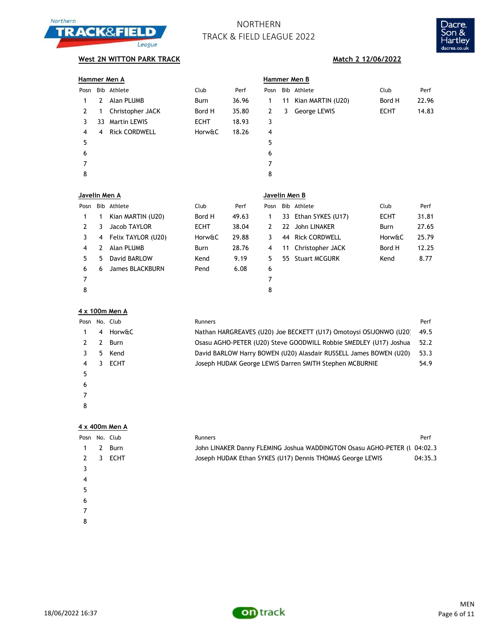



## **West 2N WITTON PARK TRACK Match 2 12/06/2022**

|              |               | Hammer Men A         |             |               | <b>Hammer Men B</b> |   |                      |             |       |  |  |
|--------------|---------------|----------------------|-------------|---------------|---------------------|---|----------------------|-------------|-------|--|--|
| Posn         |               | Bib Athlete          | Club        | Perf          | Posn                |   | Bib Athlete          | Club        | Perf  |  |  |
| 1            | 2             | Alan PLUMB           | Burn        | 36.96         | 1                   |   | 11 Kian MARTIN (U20) | Bord H      | 22.96 |  |  |
| $\mathbf{2}$ | 1             | Christopher JACK     | Bord H      | 35.80         | $\mathbf{2}$        | 3 | George LEWIS         | <b>ECHT</b> | 14.83 |  |  |
| 3            | 33            | <b>Martin LEWIS</b>  | <b>ECHT</b> | 18.93         | 3                   |   |                      |             |       |  |  |
| 4            | 4             | <b>Rick CORDWELL</b> | Horw&C      | 18.26         | 4                   |   |                      |             |       |  |  |
| 5            |               |                      |             |               | 5                   |   |                      |             |       |  |  |
| 6            |               |                      |             |               | 6                   |   |                      |             |       |  |  |
| 7            |               |                      |             |               | 7                   |   |                      |             |       |  |  |
| 8            |               |                      |             |               | 8                   |   |                      |             |       |  |  |
|              | Javelin Men A |                      |             | Javelin Men B |                     |   |                      |             |       |  |  |

|      | JAVEIIII MEII A |                    |             |       | JAVEIIII MEII D |  |                      |             |       |  |  |
|------|-----------------|--------------------|-------------|-------|-----------------|--|----------------------|-------------|-------|--|--|
| Posn |                 | Bib Athlete        | Club        | Perf  | Posn            |  | Bib Athlete          | Club        | Perf  |  |  |
| 1    |                 | Kian MARTIN (U20)  | Bord H      | 49.63 |                 |  | 33 Ethan SYKES (U17) | <b>ECHT</b> | 31.81 |  |  |
|      | 3               | Jacob TAYLOR       | <b>ECHT</b> | 38.04 | 2               |  | 22 John LINAKER      | Burn        | 27.65 |  |  |
| 3    | 4               | Felix TAYLOR (U20) | Horw&C      | 29.88 |                 |  | 44 Rick CORDWELL     | Horw&C      | 25.79 |  |  |
| 4    |                 | Alan PLUMB         | Burn        | 28.76 | 4               |  | 11 Christopher JACK  | Bord H      | 12.25 |  |  |
| 5.   | 5               | David BARLOW       | Kend        | 9.19  | 5               |  | 55 Stuart MCGURK     | Kend        | 8.77  |  |  |
| 6    | 6               | James BLACKBURN    | Pend        | 6.08  | 6               |  |                      |             |       |  |  |
| 7    |                 |                    |             |       | 7               |  |                      |             |       |  |  |
| 8    |                 |                    |             |       | 8               |  |                      |             |       |  |  |

### **4 x 100m Men A**

| Posn No. Club |   |             | <b>Runners</b>                                                    | Perf |
|---------------|---|-------------|-------------------------------------------------------------------|------|
|               | 4 | Horw&C      | Nathan HARGREAVES (U20) Joe BECKETT (U17) Omotoysi OSIJONWO (U20) | 49.5 |
|               |   | Burn        | Osasu AGHO-PETER (U20) Steve GOODWILL Robbie SMEDLEY (U17) Joshua | 52.2 |
|               | 5 | Kend        | David BARLOW Harry BOWEN (U20) Alasdair RUSSELL James BOWEN (U20) | 53.3 |
| 4             | 3 | <b>ECHT</b> | Joseph HUDAK George LEWIS Darren SMITH Stephen MCBURNIE           | 54.9 |
|               |   |             |                                                                   |      |
| 6             |   |             |                                                                   |      |
|               |   |             |                                                                   |      |
| 8             |   |             |                                                                   |      |

### **4 x 400m Men A**

| Posn No. Club |             | <b>Runners</b>                                                           | Perf    |
|---------------|-------------|--------------------------------------------------------------------------|---------|
|               | Burn        | John LINAKER Danny FLEMING Joshua WADDINGTON Osasu AGHO-PETER (1 04:02.3 |         |
|               | <b>ECHT</b> | Joseph HUDAK Ethan SYKES (U17) Dennis THOMAS George LEWIS                | 04:35.3 |
|               |             |                                                                          |         |
| 4             |             |                                                                          |         |
| 5             |             |                                                                          |         |
| 6             |             |                                                                          |         |
|               |             |                                                                          |         |

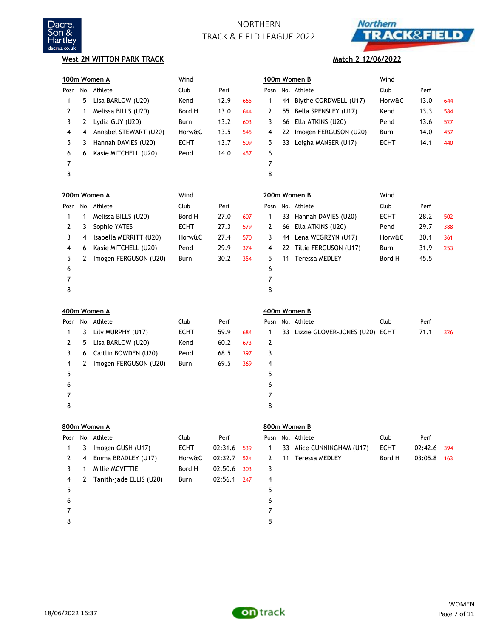



### **West 2N WITTON PARK TRACK**

# **Match 2 12/06/2022**

|   | 100m Women A |                         | Wind        |         | 100m Women B |      |    | Wind                              |             |         |     |
|---|--------------|-------------------------|-------------|---------|--------------|------|----|-----------------------------------|-------------|---------|-----|
|   |              | Posn No. Athlete        | Club        | Perf    |              | Posn |    | No. Athlete                       | Club        | Perf    |     |
| 1 | 5            | Lisa BARLOW (U20)       | Kend        | 12.9    | 665          | 1    | 44 | Blythe CORDWELL (U17)             | Horw&C      | 13.0    | 644 |
| 2 | 1            | Melissa BILLS (U20)     | Bord H      | 13.0    | 644          | 2    | 55 | Bella SPENSLEY (U17)              | Kend        | 13.3    | 584 |
| 3 | 2            | Lydia GUY (U20)         | Burn        | 13.2    | 603          | 3    | 66 | Ella ATKINS (U20)                 | Pend        | 13.6    | 527 |
| 4 | 4            | Annabel STEWART (U20)   | Horw&C      | 13.5    | 545          | 4    | 22 | Imogen FERGUSON (U20)             | Burn        | 14.0    | 457 |
| 5 | 3            | Hannah DAVIES (U20)     | <b>ECHT</b> | 13.7    | 509          | 5    |    | 33 Leigha MANSER (U17)            | <b>ECHT</b> | 14.1    | 440 |
| 6 | 6            | Kasie MITCHELL (U20)    | Pend        | 14.0    | 457          | 6    |    |                                   |             |         |     |
| 7 |              |                         |             |         |              | 7    |    |                                   |             |         |     |
| 8 |              |                         |             |         |              | 8    |    |                                   |             |         |     |
|   |              | 200m Women A            | Wind        |         |              |      |    | 200m Women B                      | Wind        |         |     |
|   |              | Posn No. Athlete        | Club        | Perf    |              |      |    | Posn No. Athlete                  | Club        | Perf    |     |
| 1 | 1            | Melissa BILLS (U20)     | Bord H      | 27.0    | 607          | 1    |    | 33 Hannah DAVIES (U20)            | <b>ECHT</b> | 28.2    | 502 |
| 2 | 3            | Sophie YATES            | <b>ECHT</b> | 27.3    | 579          | 2    |    | 66 Ella ATKINS (U20)              | Pend        | 29.7    | 388 |
| 3 | 4            | Isabella MERRITT (U20)  | Horw&C      | 27.4    | 570          | 3    |    | 44 Lena WEGRZYN (U17)             | Horw&C      | 30.1    | 361 |
| 4 | 6            | Kasie MITCHELL (U20)    | Pend        | 29.9    | 374          | 4    |    | 22 Tillie FERGUSON (U17)          | Burn        | 31.9    | 253 |
| 5 | 2            | Imogen FERGUSON (U20)   | Burn        | 30.2    | 354          | 5    |    | 11 Teressa MEDLEY                 | Bord H      | 45.5    |     |
| 6 |              |                         |             |         |              | 6    |    |                                   |             |         |     |
| 7 |              |                         |             |         |              | 7    |    |                                   |             |         |     |
| 8 |              |                         |             |         |              | 8    |    |                                   |             |         |     |
|   | 400m Women A |                         |             |         |              |      |    |                                   |             |         |     |
|   |              |                         |             |         |              |      |    | 400m Women B                      |             |         |     |
|   |              | Posn No. Athlete        | Club        | Perf    |              |      |    | Posn No. Athlete                  | Club        | Perf    |     |
| 1 | 3            | Lily MURPHY (U17)       | <b>ECHT</b> | 59.9    | 684          | 1    |    | 33 Lizzie GLOVER-JONES (U20) ECHT |             | 71.1    | 326 |
| 2 | 5            | Lisa BARLOW (U20)       | Kend        | 60.2    | 673          | 2    |    |                                   |             |         |     |
| 3 | 6            | Caitlin BOWDEN (U20)    | Pend        | 68.5    | 397          | 3    |    |                                   |             |         |     |
| 4 | 2            | Imogen FERGUSON (U20)   | Burn        | 69.5    | 369          | 4    |    |                                   |             |         |     |
| 5 |              |                         |             |         |              | 5    |    |                                   |             |         |     |
| 6 |              |                         |             |         |              | 6    |    |                                   |             |         |     |
| 7 |              |                         |             |         |              | 7    |    |                                   |             |         |     |
| 8 |              |                         |             |         |              | 8    |    |                                   |             |         |     |
|   |              | 800m Women A            |             |         |              |      |    | 800m Women B                      |             |         |     |
|   |              | Posn No. Athlete        | Club        | Perf    |              |      |    | Posn No. Athlete                  | Club        | Perf    |     |
| 1 | 3            | Imogen GUSH (U17)       | <b>ECHT</b> | 02:31.6 | 539          | 1    |    | 33 Alice CUNNINGHAM (U17)         | <b>ECHT</b> | 02:42.6 | 394 |
| 2 | 4            | Emma BRADLEY (U17)      | Horw&C      | 02:32.7 | 524          | 2    |    | 11 Teressa MEDLEY                 | Bord H      | 03:05.8 | 163 |
| 3 | 1            | Millie MCVITTIE         | Bord H      | 02:50.6 | 303          | 3    |    |                                   |             |         |     |
| 4 | 2            | Tanith-jade ELLIS (U20) | Burn        | 02:56.1 | 247          | 4    |    |                                   |             |         |     |
| 5 |              |                         |             |         |              | 5    |    |                                   |             |         |     |
| 6 |              |                         |             |         |              | 6    |    |                                   |             |         |     |
| 7 |              |                         |             |         |              | 7    |    |                                   |             |         |     |

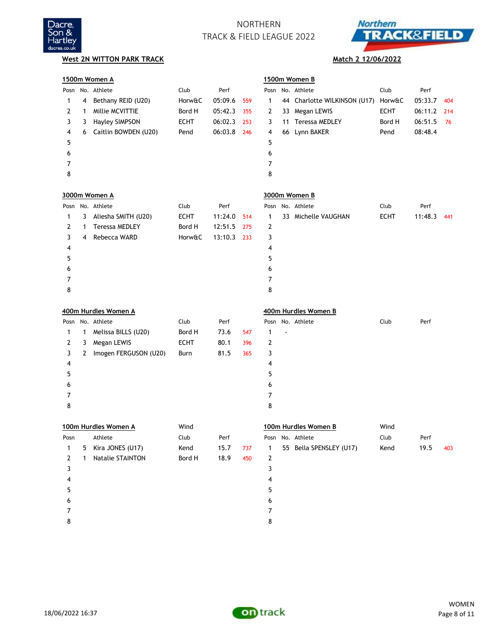



|              |   | 1500m Women A         |             |         |     |   |    | 1500m Women B                |             |         |     |
|--------------|---|-----------------------|-------------|---------|-----|---|----|------------------------------|-------------|---------|-----|
|              |   | Posn No. Athlete      | Club        | Perf    |     |   |    | Posn No. Athlete             | Club        | Perf    |     |
| 1            | 4 | Bethany REID (U20)    | Horw&C      | 05:09.6 | 559 | 1 |    | 44 Charlotte WILKINSON (U17) | Horw&C      | 05:33.7 | 404 |
| 2            | 1 | Millie MCVITTIE       | Bord H      | 05:42.3 | 355 | 2 | 33 | Megan LEWIS                  | <b>ECHT</b> | 06:11.2 | 214 |
| 3            | 3 | <b>Hayley SIMPSON</b> | <b>ECHT</b> | 06:02.3 | 253 | 3 | 11 | <b>Teressa MEDLEY</b>        | Bord H      | 06:51.5 | 76  |
| 4            | 6 | Caitlin BOWDEN (U20)  | Pend        | 06:03.8 | 246 | 4 |    | 66 Lynn BAKER                | Pend        | 08:48.4 |     |
| 5            |   |                       |             |         |     | 5 |    |                              |             |         |     |
| 6            |   |                       |             |         |     | 6 |    |                              |             |         |     |
| 7            |   |                       |             |         |     | 7 |    |                              |             |         |     |
| 8            |   |                       |             |         |     | 8 |    |                              |             |         |     |
|              |   | 3000m Women A         |             |         |     |   |    | 3000m Women B                |             |         |     |
|              |   | Posn No. Athlete      | Club        | Perf    |     |   |    | Posn No. Athlete             | Club        | Perf    |     |
| 1            | 3 | Aliesha SMITH (U20)   | <b>ECHT</b> | 11:24.0 | 514 | 1 |    | 33 Michelle VAUGHAN          | <b>ECHT</b> | 11:48.3 | 441 |
| 2            | 1 | <b>Teressa MEDLEY</b> | Bord H      | 12:51.5 | 275 | 2 |    |                              |             |         |     |
| 3            | 4 | Rebecca WARD          | Horw&C      | 13:10.3 | 233 | 3 |    |                              |             |         |     |
| 4            |   |                       |             |         |     | 4 |    |                              |             |         |     |
| 5            |   |                       |             |         |     | 5 |    |                              |             |         |     |
| 6            |   |                       |             |         |     | 6 |    |                              |             |         |     |
| 7            |   |                       |             |         |     | 7 |    |                              |             |         |     |
| 8            |   |                       |             |         |     | 8 |    |                              |             |         |     |
|              |   | 400m Hurdles Women A  |             |         |     |   |    | 400m Hurdles Women B         |             |         |     |
|              |   | Posn No. Athlete      | Club        | Perf    |     |   |    | Posn No. Athlete             | Club        | Perf    |     |
| 1            | 1 | Melissa BILLS (U20)   | Bord H      | 73.6    | 547 | 1 |    |                              |             |         |     |
| 2            | 3 | Megan LEWIS           | <b>ECHT</b> | 80.1    | 396 | 2 |    |                              |             |         |     |
| 3            | 2 | Imogen FERGUSON (U20) | Burn        | 81.5    | 365 | 3 |    |                              |             |         |     |
| 4            |   |                       |             |         |     | 4 |    |                              |             |         |     |
| 5            |   |                       |             |         |     | 5 |    |                              |             |         |     |
| 6            |   |                       |             |         |     | 6 |    |                              |             |         |     |
| 7            |   |                       |             |         |     | 7 |    |                              |             |         |     |
| 8            |   |                       |             |         |     | 8 |    |                              |             |         |     |
|              |   | 100m Hurdles Women A  | Wind        |         |     |   |    | 100m Hurdles Women B         | Wind        |         |     |
| Posn         |   | Athlete               | Club        | Perf    |     |   |    | Posn No. Athlete             | Club        | Perf    |     |
| 1            | 5 | Kira JONES (U17)      | Kend        | 15.7    | 737 | 1 |    | 55 Bella SPENSLEY (U17)      | Kend        | 19.5    | 403 |
| $\mathbf{2}$ | 1 | Natalie STAINTON      | Bord H      | 18.9    | 450 | 2 |    |                              |             |         |     |
| 3            |   |                       |             |         |     | 3 |    |                              |             |         |     |
| 4            |   |                       |             |         |     | 4 |    |                              |             |         |     |
| 5            |   |                       |             |         |     | 5 |    |                              |             |         |     |
| 6            |   |                       |             |         |     | 6 |    |                              |             |         |     |
| 7            |   |                       |             |         |     | 7 |    |                              |             |         |     |
| 8            |   |                       |             |         |     | 8 |    |                              |             |         |     |

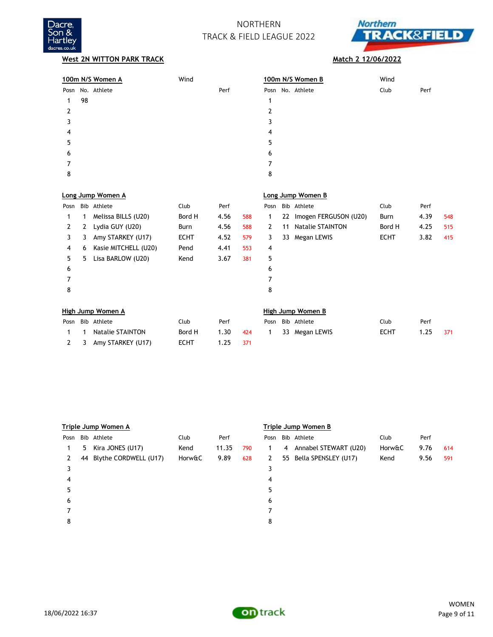



|      |    | 100m N/S Women A        | Wind        |      |     |      |    | 100m N/S Women B         | Wind        |      |     |
|------|----|-------------------------|-------------|------|-----|------|----|--------------------------|-------------|------|-----|
| Posn |    | No. Athlete             |             | Perf |     |      |    | Posn No. Athlete         | Club        | Perf |     |
| 1    | 98 |                         |             |      |     | 1    |    |                          |             |      |     |
| 2    |    |                         |             |      |     | 2    |    |                          |             |      |     |
| 3    |    |                         |             |      |     | 3    |    |                          |             |      |     |
| 4    |    |                         |             |      |     | 4    |    |                          |             |      |     |
| 5    |    |                         |             |      |     | 5    |    |                          |             |      |     |
| 6    |    |                         |             |      |     | 6    |    |                          |             |      |     |
| 7    |    |                         |             |      |     | 7    |    |                          |             |      |     |
| 8    |    |                         |             |      |     | 8    |    |                          |             |      |     |
|      |    |                         |             |      |     |      |    |                          |             |      |     |
|      |    | Long Jump Women A       |             |      |     |      |    | Long Jump Women B        |             |      |     |
| Posn |    | Bib Athlete             | Club        | Perf |     | Posn |    | Bib Athlete              | Club        | Perf |     |
| 1    | 1  | Melissa BILLS (U20)     | Bord H      | 4.56 | 588 | 1    | 22 | Imogen FERGUSON (U20)    | Burn        | 4.39 | 548 |
| 2    | 2  | Lydia GUY (U20)         | Burn        | 4.56 | 588 | 2    | 11 | <b>Natalie STAINTON</b>  | Bord H      | 4.25 | 515 |
| 3    | 3  | Amy STARKEY (U17)       | <b>ECHT</b> | 4.52 | 579 | 3    | 33 | Megan LEWIS              | <b>ECHT</b> | 3.82 | 415 |
| 4    | 6  | Kasie MITCHELL (U20)    | Pend        | 4.41 | 553 | 4    |    |                          |             |      |     |
| 5    | 5  | Lisa BARLOW (U20)       | Kend        | 3.67 | 381 | 5    |    |                          |             |      |     |
| 6    |    |                         |             |      |     | 6    |    |                          |             |      |     |
| 7    |    |                         |             |      |     | 7    |    |                          |             |      |     |
| 8    |    |                         |             |      |     | 8    |    |                          |             |      |     |
|      |    | High Jump Women A       |             |      |     |      |    | <b>High Jump Women B</b> |             |      |     |
| Posn |    | Bib Athlete             | Club        | Perf |     | Posn |    | Bib Athlete              | Club        | Perf |     |
| 1    | 1  | <b>Natalie STAINTON</b> | Bord H      | 1.30 | 424 | 1    | 33 | Megan LEWIS              | <b>ECHT</b> | 1.25 | 371 |
| 2    | 3  | Amy STARKEY (U17)       | <b>ECHT</b> | 1.25 | 371 |      |    |                          |             |      |     |

|      | Triple Jump Women A |                          |        |       |     |             | Triple Jump Women B |                         |        |      |     |  |
|------|---------------------|--------------------------|--------|-------|-----|-------------|---------------------|-------------------------|--------|------|-----|--|
| Posn |                     | Bib Athlete              | Club   | Perf  |     |             |                     | Posn Bib Athlete        | Club   | Perf |     |  |
|      |                     | 5 Kira JONES (U17)       | Kend   | 11.35 | 790 |             |                     | 4 Annabel STEWART (U20) | Horw&C | 9.76 | 614 |  |
|      |                     | 44 Blythe CORDWELL (U17) | Horw&C | 9.89  | 628 | $2^{\circ}$ |                     | 55 Bella SPENSLEY (U17) | Kend   | 9.56 | 591 |  |
|      |                     |                          |        |       |     | 3           |                     |                         |        |      |     |  |
| 4    |                     |                          |        |       |     | 4           |                     |                         |        |      |     |  |
| 5    |                     |                          |        |       |     | 5           |                     |                         |        |      |     |  |
| 6    |                     |                          |        |       |     | 6           |                     |                         |        |      |     |  |
|      |                     |                          |        |       |     |             |                     |                         |        |      |     |  |
| 8    |                     |                          |        |       |     | 8           |                     |                         |        |      |     |  |
|      |                     |                          |        |       |     |             |                     |                         |        |      |     |  |



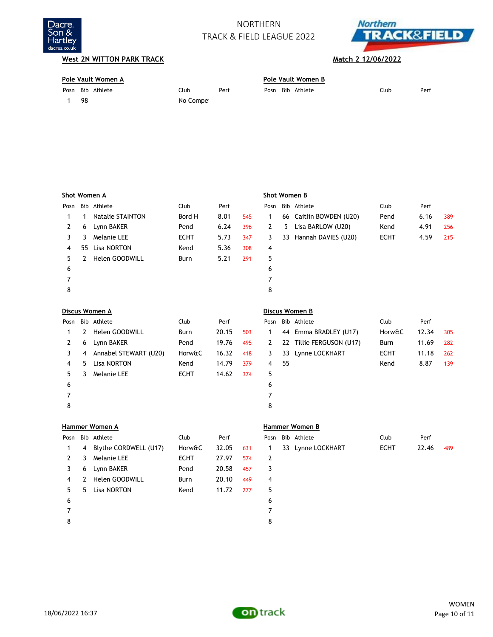



| Pole Vault Women A |    |                  |           | Pole Vault Women B |      |  |             |      |      |  |
|--------------------|----|------------------|-----------|--------------------|------|--|-------------|------|------|--|
|                    |    | Posn Bib Athlete | Club      | Perf               | Posn |  | Bib Athlete | Club | Perf |  |
|                    | 98 |                  | No Compet |                    |      |  |             |      |      |  |

|      |              | Shot Women A            |             |       |     |      |    | Shot Women B            |             |       |     |
|------|--------------|-------------------------|-------------|-------|-----|------|----|-------------------------|-------------|-------|-----|
| Posn |              | Bib Athlete             | Club        | Perf  |     | Posn |    | Bib Athlete             | Club        | Perf  |     |
| 1    | 1            | <b>Natalie STAINTON</b> | Bord H      | 8.01  | 545 | 1    |    | 66 Caitlin BOWDEN (U20) | Pend        | 6.16  | 389 |
| 2    | 6            | Lynn BAKER              | Pend        | 6.24  | 396 | 2    | 5  | Lisa BARLOW (U20)       | Kend        | 4.91  | 256 |
| 3    | 3            | Melanie LEE             | <b>ECHT</b> | 5.73  | 347 | 3    |    | 33 Hannah DAVIES (U20)  | <b>ECHT</b> | 4.59  | 215 |
| 4    | 55           | Lisa NORTON             | Kend        | 5.36  | 308 | 4    |    |                         |             |       |     |
| 5    | 2            | Helen GOODWILL          | Burn        | 5.21  | 291 | 5    |    |                         |             |       |     |
| 6    |              |                         |             |       |     | 6    |    |                         |             |       |     |
| 7    |              |                         |             |       |     | 7    |    |                         |             |       |     |
| 8    |              |                         |             |       |     | 8    |    |                         |             |       |     |
|      |              | Discus Women A          |             |       |     |      |    | Discus Women B          |             |       |     |
| Posn |              | Bib Athlete             | Club        | Perf  |     | Posn |    | Bib Athlete             | Club        | Perf  |     |
| 1    | $\mathbf{2}$ | Helen GOODWILL          | Burn        | 20.15 | 503 | 1    | 44 | Emma BRADLEY (U17)      | Horw&C      | 12.34 | 305 |
| 2    | 6            | Lynn BAKER              | Pend        | 19.76 | 495 | 2    | 22 | Tillie FERGUSON (U17)   | Burn        | 11.69 | 282 |
| 3    | 4            | Annabel STEWART (U20)   | Horw&C      | 16.32 | 418 | 3    |    | 33 Lynne LOCKHART       | ECHT        | 11.18 | 262 |
| 4    | 5.           | <b>Lisa NORTON</b>      | Kend        | 14.79 | 379 | 4    | 55 |                         | Kend        | 8.87  | 139 |
| 5.   | 3            | Melanie LEE             | <b>ECHT</b> | 14.62 | 374 | 5    |    |                         |             |       |     |
| 6    |              |                         |             |       |     | 6    |    |                         |             |       |     |
| 7    |              |                         |             |       |     | 7    |    |                         |             |       |     |
| 8    |              |                         |             |       |     | 8    |    |                         |             |       |     |

|      |   | Hammer Women A        |             |       |     |   | Hammer Women B    |             |       |     |
|------|---|-----------------------|-------------|-------|-----|---|-------------------|-------------|-------|-----|
| Posn |   | Bib Athlete           | Club        | Perf  |     |   | Posn Bib Athlete  | Club        | Perf  |     |
| 1    | 4 | Blythe CORDWELL (U17) | Horw&C      | 32.05 | 631 | 1 | 33 Lynne LOCKHART | <b>ECHT</b> | 22.46 | 489 |
| 2    | 3 | Melanie LEE           | <b>ECHT</b> | 27.97 | 574 | 2 |                   |             |       |     |
| 3    | 6 | Lynn BAKER            | Pend        | 20.58 | 457 | 3 |                   |             |       |     |
| 4    |   | Helen GOODWILL        | <b>Burn</b> | 20.10 | 449 | 4 |                   |             |       |     |
| 5.   | 5 | Lisa NORTON           | Kend        | 11.72 | 277 | 5 |                   |             |       |     |
| 6    |   |                       |             |       |     | 6 |                   |             |       |     |
| 7    |   |                       |             |       |     | 7 |                   |             |       |     |
| 8    |   |                       |             |       |     | 8 |                   |             |       |     |

|    | Posn Bib Athlete    | Club | Perf  |       |
|----|---------------------|------|-------|-------|
|    | 1 33 Lynne LOCKHART | ECHT | 22.46 | - 489 |
|    |                     |      |       |       |
| ્ર |                     |      |       |       |